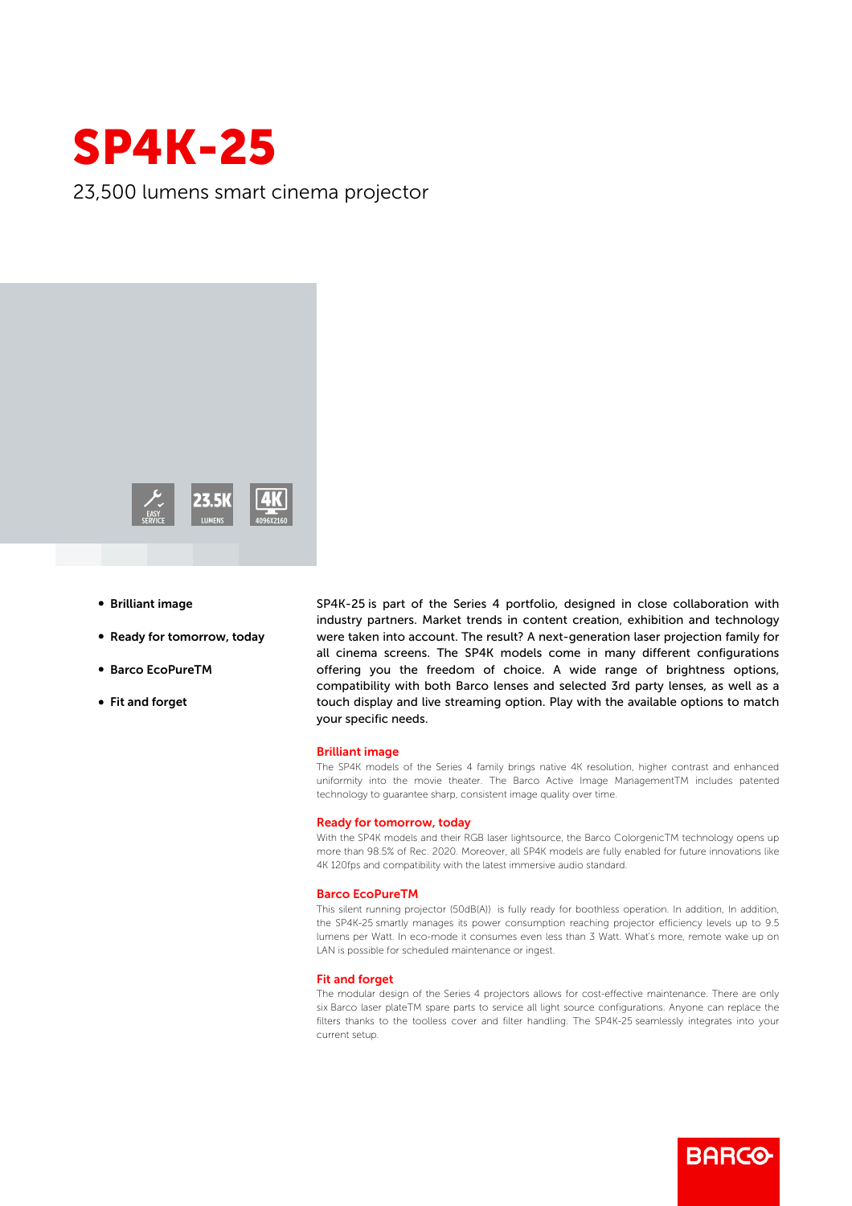

23,500 lumens smart cinema projector



- **Brilliant image**
- Ready for tomorrow, today
- b Barco EcoPureTM
- Fit and forget

SP4K-25 is part of the Series 4 portfolio, designed in close collaboration with industry partners. Market trends in content creation, exhibition and technology were taken into account. The result? A next-generation laser projection family for all cinema screens. The SP4K models come in many different configurations offering you the freedom of choice. A wide range of brightness options, compatibility with both Barco lenses and selected 3rd party lenses, as well as a touch display and live streaming option. Play with the available options to match your specific needs.

## Brilliant image

The SP4K models of the Series 4 family brings native 4K resolution, higher contrast and enhanced uniformity into the movie theater. The Barco Active Image ManagementTM includes patented technology to guarantee sharp, consistent image quality over time.

## Ready for tomorrow, today

With the SP4K models and their RGB laser lightsource, the Barco ColorgenicTM technology opens up more than 98.5% of Rec. 2020. Moreover, all SP4K models are fully enabled for future innovations like 4K 120fps and compatibility with the latest immersive audio standard.

#### Barco EcoPureTM

This silent running projector (50dB(A)) is fully ready for boothless operation. In addition, In addition, the SP4K-25 smartly manages its power consumption reaching projector efficiency levels up to 9.5 lumens per Watt. In eco-mode it consumes even less than 3 Watt. What's more, remote wake up on LAN is possible for scheduled maintenance or ingest.

## Fit and forget

The modular design of the Series 4 projectors allows for cost-effective maintenance. There are only six Barco laser plateTM spare parts to service all light source configurations. Anyone can replace the filters thanks to the toolless cover and filter handling. The SP4K-25 seamlessly integrates into your current setup.

**BARGO**